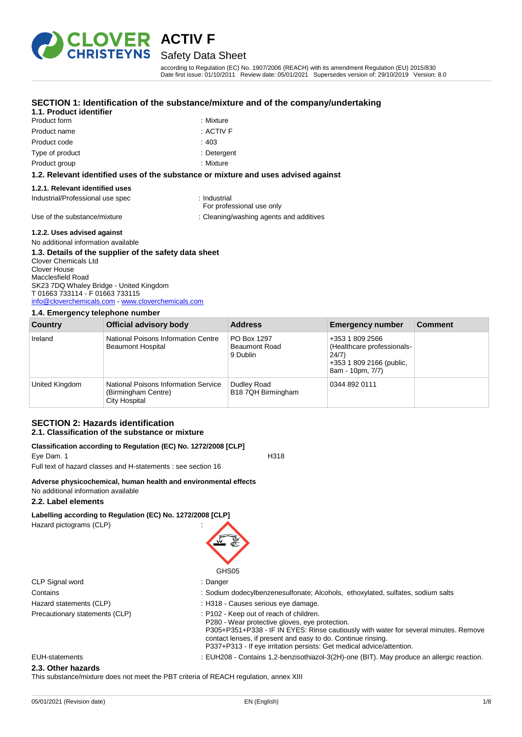

## **ACTIV F** Safety Data Sheet

according to Regulation (EC) No. 1907/2006 (REACH) with its amendment Regulation (EU) 2015/830 Date first issue: 01/10/2011 Review date: 05/01/2021 Supersedes version of: 29/10/2019 Version: 8.0

### **SECTION 1: Identification of the substance/mixture and of the company/undertaking**

#### **1.1. Product identifier**

- Product form **: Mixture** : Mixture Product name : ACTIV F Product code : 403 Type of product in the contract of the product in the contract of the Determination of the Determination of the Determination of the Determination of the Determination of the Determination of the United States of the Unite
	-
	-
	-
- Product group **: Mixture** 
	-

#### **1.2. Relevant identified uses of the substance or mixture and uses advised against**

#### **1.2.1. Relevant identified uses**

Industrial/Professional use spec : Industrial

For professional use only

Use of the substance/mixture in the substance/mixture : Cleaning/washing agents and additives

#### **1.2.2. Uses advised against**

No additional information available

#### **1.3. Details of the supplier of the safety data sheet**

Clover Chemicals Ltd Clover House Macclesfield Road SK23 7DQ Whaley Bridge - United Kingdom T 01663 733114 - F 01663 733115 [info@cloverchemicals.com](mailto:info@cloverchemicals.com) - <www.cloverchemicals.com>

#### **1.4. Emergency telephone number**

| <b>Country</b> | Official advisory body                                                              | <b>Address</b>                                  | <b>Emergency number</b>                                                                                | <b>Comment</b> |
|----------------|-------------------------------------------------------------------------------------|-------------------------------------------------|--------------------------------------------------------------------------------------------------------|----------------|
| Ireland        | National Poisons Information Centre<br><b>Beaumont Hospital</b>                     | PO Box 1297<br><b>Beaumont Road</b><br>9 Dublin | +353 1 809 2566<br>(Healthcare professionals-<br>24/7)<br>+353 1 809 2166 (public,<br>8am - 10pm, 7/7) |                |
| United Kingdom | <b>National Poisons Information Service</b><br>(Birmingham Centre)<br>City Hospital | Dudley Road<br>B18 7QH Birmingham               | 0344 892 0111                                                                                          |                |

#### **SECTION 2: Hazards identification 2.1. Classification of the substance or mixture**

### **Classification according to Regulation (EC) No. 1272/2008 [CLP]**

Eye Dam. 1 H318 Full text of hazard classes and H-statements : see section 16

**Adverse physicochemical, human health and environmental effects** No additional information available

#### **2.2. Label elements**

## **Labelling according to Regulation (EC) No. 1272/2008 [CLP]**

Hazard pictograms (CLP) :



| Danger |
|--------|
|        |

- Contains **Solum dodecylbenzenesulfonate; Alcohols, ethoxylated, sulfates, sodium salts** Sodium salts
- Hazard statements (CLP)  $\qquad \qquad$ : H318 Causes serious eye damage.
- 
- Precautionary statements (CLP) : P102 Keep out of reach of children.
	- P280 Wear protective gloves, eye protection.
	- P305+P351+P338 IF IN EYES: Rinse cautiously with water for several minutes. Remove contact lenses, if present and easy to do. Continue rinsing.
		- P337+P313 If eye irritation persists: Get medical advice/attention.
- EUH-statements : EUH208 Contains 1,2-benzisothiazol-3(2H)-one (BIT). May produce an allergic reaction.

#### **2.3. Other hazards**

CLP Signal word

This substance/mixture does not meet the PBT criteria of REACH regulation, annex XIII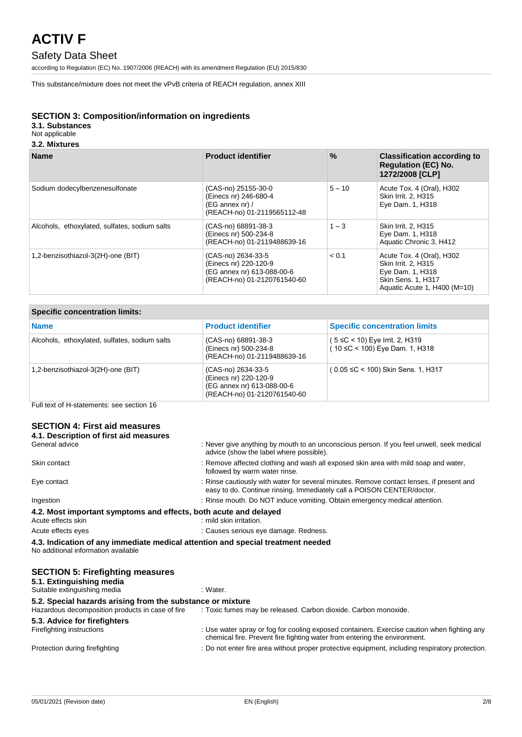## Safety Data Sheet

according to Regulation (EC) No. 1907/2006 (REACH) with its amendment Regulation (EU) 2015/830

This substance/mixture does not meet the vPvB criteria of REACH regulation, annex XIII

### **SECTION 3: Composition/information on ingredients**

## **3.1. Substances**

## Not applicable

### **3.2. Mixtures**

| <b>Name</b>                                   | <b>Product identifier</b>                                                                                | $\frac{9}{6}$ | <b>Classification according to</b><br><b>Regulation (EC) No.</b><br>1272/2008 [CLP]                                        |
|-----------------------------------------------|----------------------------------------------------------------------------------------------------------|---------------|----------------------------------------------------------------------------------------------------------------------------|
| Sodium dodecylbenzenesulfonate                | (CAS-no) 25155-30-0<br>(Einecs nr) 246-680-4<br>$(EG$ annex nr) /<br>(REACH-no) 01-2119565112-48         | $5 - 10$      | Acute Tox. 4 (Oral), H302<br>Skin Irrit. 2, H315<br>Eye Dam. 1, H318                                                       |
| Alcohols, ethoxylated, sulfates, sodium salts | (CAS-no) 68891-38-3<br>(Einecs nr) 500-234-8<br>(REACH-no) 01-2119488639-16                              | $1 - 3$       | Skin Irrit. 2, H315<br>Eye Dam. 1, H318<br>Aquatic Chronic 3, H412                                                         |
| 1,2-benzisothiazol-3(2H)-one (BIT)            | (CAS-no) 2634-33-5<br>(Einecs nr) 220-120-9<br>(EG annex nr) 613-088-00-6<br>(REACH-no) 01-2120761540-60 | < 0.1         | Acute Tox. 4 (Oral), H302<br>Skin Irrit. 2, H315<br>Eye Dam. 1, H318<br>Skin Sens. 1, H317<br>Aquatic Acute 1, H400 (M=10) |

#### **Specific concentration limits:**

| <b>Name</b>                                   | <b>Product identifier</b>                                                                                | <b>Specific concentration limits</b>                                         |
|-----------------------------------------------|----------------------------------------------------------------------------------------------------------|------------------------------------------------------------------------------|
| Alcohols, ethoxylated, sulfates, sodium salts | (CAS-no) 68891-38-3<br>(Einecs nr) 500-234-8<br>(REACH-no) 01-2119488639-16                              | $(5 \leq C < 10)$ Eye Irrit. 2, H319<br>$(10 \leq C < 100)$ Eye Dam. 1, H318 |
| 1,2-benzisothiazol-3(2H)-one (BIT)            | (CAS-no) 2634-33-5<br>(Einecs nr) 220-120-9<br>(EG annex nr) 613-088-00-6<br>(REACH-no) 01-2120761540-60 | $(0.05 \leq C < 100)$ Skin Sens. 1, H317                                     |
|                                               |                                                                                                          |                                                                              |

Full text of H-statements: see section 16

### **SECTION 4: First aid measures**

| 4.1. Description of first aid measures                                                                                 |                                                                                                                                                                          |  |
|------------------------------------------------------------------------------------------------------------------------|--------------------------------------------------------------------------------------------------------------------------------------------------------------------------|--|
| General advice                                                                                                         | : Never give anything by mouth to an unconscious person. If you feel unwell, seek medical<br>advice (show the label where possible).                                     |  |
| Skin contact                                                                                                           | : Remove affected clothing and wash all exposed skin area with mild soap and water,<br>followed by warm water rinse.                                                     |  |
| Eye contact                                                                                                            | : Rinse cautiously with water for several minutes. Remove contact lenses, if present and<br>easy to do. Continue rinsing. Immediately call a POISON CENTER/doctor.       |  |
| Ingestion                                                                                                              | : Rinse mouth. Do NOT induce vomiting. Obtain emergency medical attention.                                                                                               |  |
| 4.2. Most important symptoms and effects, both acute and delayed<br>Acute effects skin                                 | : mild skin irritation.                                                                                                                                                  |  |
| Acute effects eyes                                                                                                     | : Causes serious eye damage. Redness.                                                                                                                                    |  |
| 4.3. Indication of any immediate medical attention and special treatment needed<br>No additional information available |                                                                                                                                                                          |  |
| <b>SECTION 5: Firefighting measures</b><br>5.1. Extinguishing media<br>Suitable extinguishing media                    | : Water.                                                                                                                                                                 |  |
| 5.2. Special hazards arising from the substance or mixture                                                             |                                                                                                                                                                          |  |
| Hazardous decomposition products in case of fire                                                                       | : Toxic fumes may be released. Carbon dioxide. Carbon monoxide.                                                                                                          |  |
| 5.3. Advice for firefighters<br>Firefighting instructions                                                              | : Use water spray or fog for cooling exposed containers. Exercise caution when fighting any<br>chemical fire. Prevent fire fighting water from entering the environment. |  |
| Protection during firefighting                                                                                         | : Do not enter fire area without proper protective equipment, including respiratory protection.                                                                          |  |
|                                                                                                                        |                                                                                                                                                                          |  |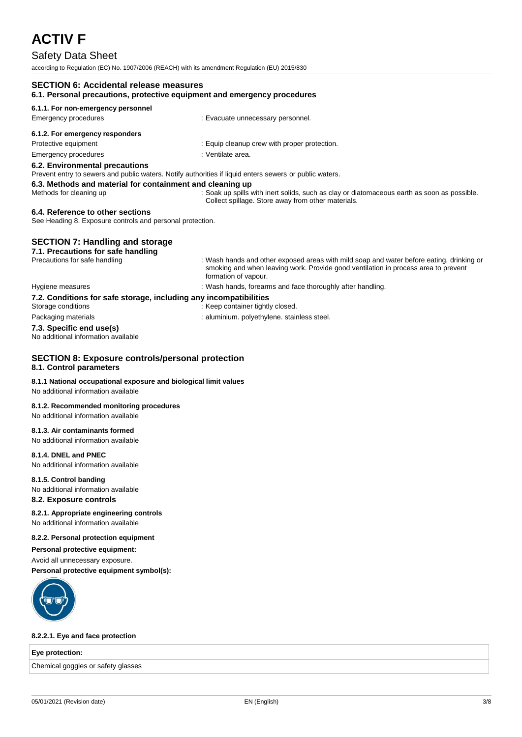## Safety Data Sheet

according to Regulation (EC) No. 1907/2006 (REACH) with its amendment Regulation (EU) 2015/830

| <b>SECTION 6: Accidental release measures</b><br>6.1. Personal precautions, protective equipment and emergency procedures                 |                                                                                                                                                                                                        |  |
|-------------------------------------------------------------------------------------------------------------------------------------------|--------------------------------------------------------------------------------------------------------------------------------------------------------------------------------------------------------|--|
| 6.1.1. For non-emergency personnel                                                                                                        |                                                                                                                                                                                                        |  |
| Emergency procedures                                                                                                                      | : Evacuate unnecessary personnel.                                                                                                                                                                      |  |
| 6.1.2. For emergency responders                                                                                                           |                                                                                                                                                                                                        |  |
| Protective equipment                                                                                                                      | : Equip cleanup crew with proper protection.                                                                                                                                                           |  |
| Emergency procedures                                                                                                                      | : Ventilate area.                                                                                                                                                                                      |  |
| 6.2. Environmental precautions<br>Prevent entry to sewers and public waters. Notify authorities if liquid enters sewers or public waters. |                                                                                                                                                                                                        |  |
| 6.3. Methods and material for containment and cleaning up<br>Methods for cleaning up                                                      | : Soak up spills with inert solids, such as clay or diatomaceous earth as soon as possible.<br>Collect spillage. Store away from other materials.                                                      |  |
| 6.4. Reference to other sections<br>See Heading 8. Exposure controls and personal protection.                                             |                                                                                                                                                                                                        |  |
| <b>SECTION 7: Handling and storage</b><br>7.1. Precautions for safe handling                                                              |                                                                                                                                                                                                        |  |
| Precautions for safe handling                                                                                                             | : Wash hands and other exposed areas with mild soap and water before eating, drinking or<br>smoking and when leaving work. Provide good ventilation in process area to prevent<br>formation of vapour. |  |
| Hygiene measures                                                                                                                          | : Wash hands, forearms and face thoroughly after handling.                                                                                                                                             |  |
| 7.2. Conditions for safe storage, including any incompatibilities                                                                         |                                                                                                                                                                                                        |  |
| Storage conditions                                                                                                                        | : Keep container tightly closed.                                                                                                                                                                       |  |

Packaging materials **in the case of the case of the case of the case of the case of the case of the case of the case of the case of the case of the case of the case of the case of the case of the case of the case of the ca** 

### **7.3. Specific end use(s)**

No additional information available

## **SECTION 8: Exposure controls/personal protection**

## **8.1. Control parameters**

#### **8.1.1 National occupational exposure and biological limit values**

No additional information available

#### **8.1.2. Recommended monitoring procedures**

No additional information available

#### **8.1.3. Air contaminants formed**

No additional information available

### **8.1.4. DNEL and PNEC**

No additional information available

#### **8.1.5. Control banding**

No additional information available

#### **8.2. Exposure controls**

#### **8.2.1. Appropriate engineering controls**

No additional information available

#### **8.2.2. Personal protection equipment**

**Personal protective equipment:**

Avoid all unnecessary exposure.

**Personal protective equipment symbol(s):**



#### **8.2.2.1. Eye and face protection**

#### **Eye protection:**

Chemical goggles or safety glasses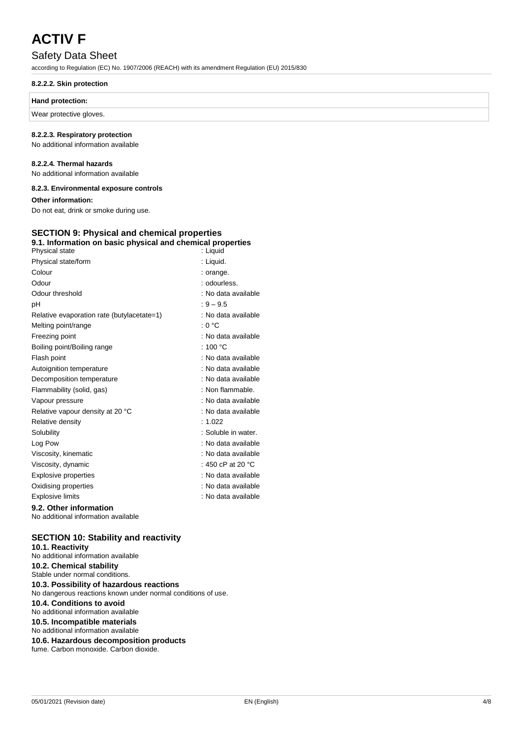## Safety Data Sheet

according to Regulation (EC) No. 1907/2006 (REACH) with its amendment Regulation (EU) 2015/830

#### **8.2.2.2. Skin protection**

#### **Hand protection:**

Wear protective gloves.

#### **8.2.2.3. Respiratory protection**

No additional information available

#### **8.2.2.4. Thermal hazards**

No additional information available

#### **8.2.3. Environmental exposure controls**

**Other information:**

Do not eat, drink or smoke during use.

#### **SECTION 9: Physical and chemical properties 9.1. Information on basic physical and chemical properties**

| Physical state                                                | : Liquid                    |
|---------------------------------------------------------------|-----------------------------|
| Physical state/form                                           | : Liquid.                   |
| Colour                                                        | : orange.                   |
| Odour                                                         | : odourless.                |
| Odour threshold                                               | : No data available         |
| рH                                                            | $: 9 - 9.5$                 |
| Relative evaporation rate (butylacetate=1)                    | : No data available         |
| Melting point/range                                           | : 0 °C                      |
| Freezing point                                                | : No data available         |
| Boiling point/Boiling range                                   | : 100 $^{\circ}$ C          |
| Flash point                                                   | : No data available         |
| Autoignition temperature                                      | : No data available         |
| Decomposition temperature                                     | : No data available         |
| Flammability (solid, gas)                                     | : Non flammable.            |
| Vapour pressure                                               | : No data available         |
| Relative vapour density at 20 °C                              | : No data available         |
| Relative density                                              | : 1.022                     |
| Solubility                                                    | : Soluble in water.         |
| Log Pow                                                       | : No data available         |
| Viscosity, kinematic                                          | : No data available         |
| Viscosity, dynamic                                            | : 450 cP at 20 $^{\circ}$ C |
| <b>Explosive properties</b>                                   | : No data available         |
| Oxidising properties                                          | : No data available         |
| <b>Explosive limits</b>                                       | : No data available         |
| 9.2. Other information<br>No additional information available |                             |

## **SECTION 10: Stability and reactivity**

**10.1. Reactivity** No additional information available **10.2. Chemical stability** Stable under normal conditions. **10.3. Possibility of hazardous reactions** No dangerous reactions known under normal conditions of use. **10.4. Conditions to avoid** No additional information available **10.5. Incompatible materials** No additional information available **10.6. Hazardous decomposition products** fume. Carbon monoxide. Carbon dioxide.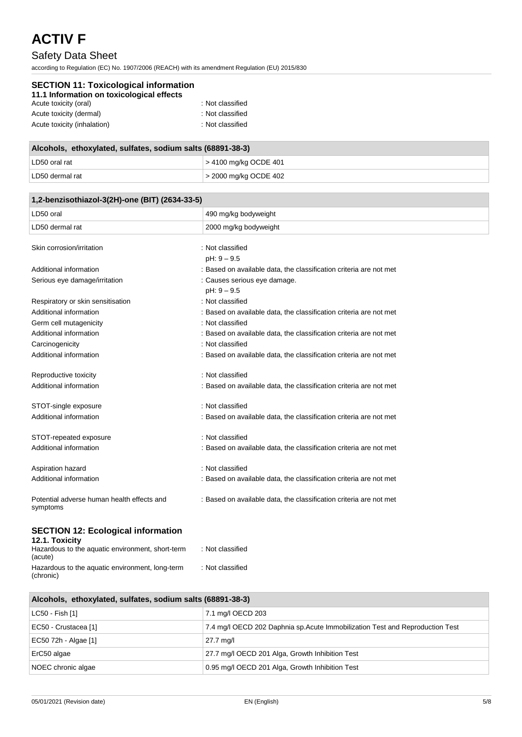## Safety Data Sheet

according to Regulation (EC) No. 1907/2006 (REACH) with its amendment Regulation (EU) 2015/830

| <b>SECTION 11: Toxicological information</b><br>11.1 Information on toxicological effects |                  |  |  |
|-------------------------------------------------------------------------------------------|------------------|--|--|
| Acute toxicity (oral)                                                                     | : Not classified |  |  |
| Acute toxicity (dermal)                                                                   | : Not classified |  |  |
| Acute toxicity (inhalation)                                                               | : Not classified |  |  |

| Alcohols, ethoxylated, sulfates, sodium salts (68891-38-3) |                         |  |
|------------------------------------------------------------|-------------------------|--|
| LD50 oral rat                                              | $> 4100$ mg/kg OCDE 401 |  |
| LD50 dermal rat                                            | 2000 mg/kg OCDE 402     |  |

| 1,2-benzisothiazol-3(2H)-one (BIT) (2634-33-5)              |                                                                    |  |
|-------------------------------------------------------------|--------------------------------------------------------------------|--|
| LD50 oral                                                   | 490 mg/kg bodyweight                                               |  |
| LD50 dermal rat                                             | 2000 mg/kg bodyweight                                              |  |
| Skin corrosion/irritation                                   | : Not classified                                                   |  |
|                                                             | pH: 9 - 9.5                                                        |  |
| Additional information                                      | : Based on available data, the classification criteria are not met |  |
| Serious eye damage/irritation                               | : Causes serious eye damage.                                       |  |
|                                                             | $pH: 9 - 9.5$                                                      |  |
| Respiratory or skin sensitisation                           | : Not classified                                                   |  |
| Additional information                                      | : Based on available data, the classification criteria are not met |  |
| Germ cell mutagenicity                                      | : Not classified                                                   |  |
| Additional information                                      | : Based on available data, the classification criteria are not met |  |
| Carcinogenicity                                             | : Not classified                                                   |  |
| Additional information                                      | : Based on available data, the classification criteria are not met |  |
| Reproductive toxicity                                       | : Not classified                                                   |  |
| Additional information                                      | : Based on available data, the classification criteria are not met |  |
| STOT-single exposure                                        | : Not classified                                                   |  |
| Additional information                                      | : Based on available data, the classification criteria are not met |  |
| STOT-repeated exposure                                      | : Not classified                                                   |  |
| Additional information                                      | : Based on available data, the classification criteria are not met |  |
| Aspiration hazard                                           | : Not classified                                                   |  |
| Additional information                                      | : Based on available data, the classification criteria are not met |  |
| Potential adverse human health effects and<br>symptoms      | : Based on available data, the classification criteria are not met |  |
| <b>SECTION 12: Ecological information</b><br>12.1. Toxicity |                                                                    |  |

| <b>IL.I. IVAIVILY</b><br>Hazardous to the aquatic environment, short-term<br>(acute) | : Not classified |
|--------------------------------------------------------------------------------------|------------------|
| Hazardous to the aquatic environment, long-term<br>(chronic)                         | : Not classified |

| Alcohols, ethoxylated, sulfates, sodium salts (68891-38-3) |                                                                               |  |
|------------------------------------------------------------|-------------------------------------------------------------------------------|--|
| LC50 - Fish [1]                                            | 7.1 mg/l OECD 203                                                             |  |
| EC50 - Crustacea [1]                                       | 7.4 mg/l OECD 202 Daphnia sp. Acute Immobilization Test and Reproduction Test |  |
| EC50 72h - Algae [1]                                       | 27.7 mg/l                                                                     |  |
| ErC50 algae                                                | 27.7 mg/l OECD 201 Alga, Growth Inhibition Test                               |  |
| NOEC chronic algae                                         | 0.95 mg/l OECD 201 Alga, Growth Inhibition Test                               |  |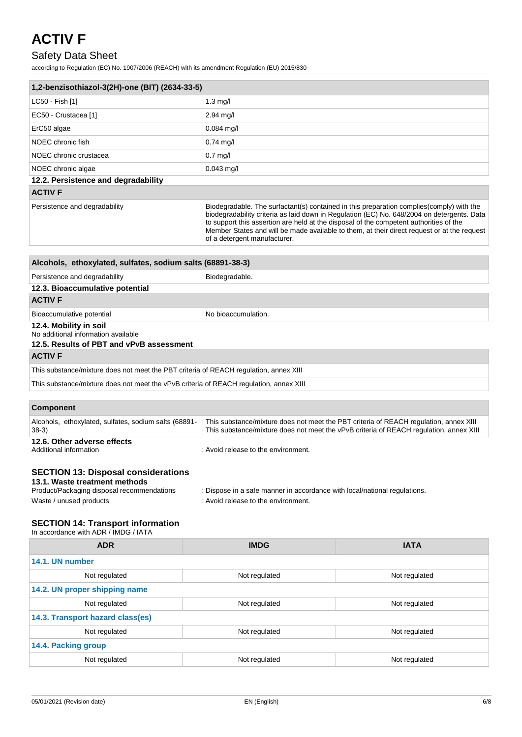## Safety Data Sheet

according to Regulation (EC) No. 1907/2006 (REACH) with its amendment Regulation (EU) 2015/830

| 1,2-benzisothiazol-3(2H)-one (BIT) (2634-33-5)                                                                                                                                                                                                                           |                                                                                                                        |                                                                                                                                                                                                                                                                                       |  |
|--------------------------------------------------------------------------------------------------------------------------------------------------------------------------------------------------------------------------------------------------------------------------|------------------------------------------------------------------------------------------------------------------------|---------------------------------------------------------------------------------------------------------------------------------------------------------------------------------------------------------------------------------------------------------------------------------------|--|
| LC50 - Fish [1]                                                                                                                                                                                                                                                          | $1.3 \text{ mg/l}$                                                                                                     |                                                                                                                                                                                                                                                                                       |  |
| EC50 - Crustacea [1]                                                                                                                                                                                                                                                     | 2.94 mg/l                                                                                                              |                                                                                                                                                                                                                                                                                       |  |
| ErC50 algae                                                                                                                                                                                                                                                              | $0.084$ mg/l                                                                                                           |                                                                                                                                                                                                                                                                                       |  |
| NOEC chronic fish                                                                                                                                                                                                                                                        | $0.74$ mg/l                                                                                                            |                                                                                                                                                                                                                                                                                       |  |
| NOEC chronic crustacea                                                                                                                                                                                                                                                   | $0.7$ mg/l                                                                                                             |                                                                                                                                                                                                                                                                                       |  |
| NOEC chronic algae                                                                                                                                                                                                                                                       | $0.043$ mg/l                                                                                                           |                                                                                                                                                                                                                                                                                       |  |
| 12.2. Persistence and degradability                                                                                                                                                                                                                                      |                                                                                                                        |                                                                                                                                                                                                                                                                                       |  |
| <b>ACTIV F</b>                                                                                                                                                                                                                                                           |                                                                                                                        |                                                                                                                                                                                                                                                                                       |  |
| Persistence and degradability                                                                                                                                                                                                                                            | to support this assertion are held at the disposal of the competent authorities of the<br>of a detergent manufacturer. | Biodegradable. The surfactant(s) contained in this preparation complies(comply) with the<br>biodegradability criteria as laid down in Regulation (EC) No. 648/2004 on detergents. Data<br>Member States and will be made available to them, at their direct request or at the request |  |
| Alcohols, ethoxylated, sulfates, sodium salts (68891-38-3)                                                                                                                                                                                                               |                                                                                                                        |                                                                                                                                                                                                                                                                                       |  |
| Persistence and degradability                                                                                                                                                                                                                                            | Biodegradable.                                                                                                         |                                                                                                                                                                                                                                                                                       |  |
| 12.3. Bioaccumulative potential                                                                                                                                                                                                                                          |                                                                                                                        |                                                                                                                                                                                                                                                                                       |  |
| <b>ACTIV F</b>                                                                                                                                                                                                                                                           |                                                                                                                        |                                                                                                                                                                                                                                                                                       |  |
| Bioaccumulative potential                                                                                                                                                                                                                                                | No bioaccumulation.                                                                                                    |                                                                                                                                                                                                                                                                                       |  |
| 12.4. Mobility in soil<br>No additional information available<br>12.5. Results of PBT and vPvB assessment<br><b>ACTIV F</b>                                                                                                                                              |                                                                                                                        |                                                                                                                                                                                                                                                                                       |  |
| This substance/mixture does not meet the PBT criteria of REACH regulation, annex XIII                                                                                                                                                                                    |                                                                                                                        |                                                                                                                                                                                                                                                                                       |  |
| This substance/mixture does not meet the vPvB criteria of REACH regulation, annex XIII                                                                                                                                                                                   |                                                                                                                        |                                                                                                                                                                                                                                                                                       |  |
|                                                                                                                                                                                                                                                                          |                                                                                                                        |                                                                                                                                                                                                                                                                                       |  |
| <b>Component</b>                                                                                                                                                                                                                                                         |                                                                                                                        |                                                                                                                                                                                                                                                                                       |  |
| Alcohols, ethoxylated, sulfates, sodium salts (68891-<br>$38-3)$                                                                                                                                                                                                         |                                                                                                                        | This substance/mixture does not meet the PBT criteria of REACH regulation, annex XIII<br>This substance/mixture does not meet the vPvB criteria of REACH regulation, annex XIII                                                                                                       |  |
| 12.6. Other adverse effects<br>Additional information                                                                                                                                                                                                                    | : Avoid release to the environment.                                                                                    |                                                                                                                                                                                                                                                                                       |  |
| <b>SECTION 13: Disposal considerations</b><br>13.1. Waste treatment methods<br>Product/Packaging disposal recommendations<br>: Dispose in a safe manner in accordance with local/national regulations.<br>Waste / unused products<br>: Avoid release to the environment. |                                                                                                                        |                                                                                                                                                                                                                                                                                       |  |
| <b>SECTION 14: Transport information</b><br>In accordance with ADR / IMDG / IATA                                                                                                                                                                                         |                                                                                                                        |                                                                                                                                                                                                                                                                                       |  |
| <b>ADR</b>                                                                                                                                                                                                                                                               | <b>IMDG</b>                                                                                                            | <b>IATA</b>                                                                                                                                                                                                                                                                           |  |
| 14.1. UN number                                                                                                                                                                                                                                                          |                                                                                                                        |                                                                                                                                                                                                                                                                                       |  |
| Not regulated                                                                                                                                                                                                                                                            | Not regulated<br>Not regulated                                                                                         |                                                                                                                                                                                                                                                                                       |  |
| 14.2. UN proper shipping name                                                                                                                                                                                                                                            |                                                                                                                        |                                                                                                                                                                                                                                                                                       |  |
| Not regulated                                                                                                                                                                                                                                                            | Not regulated                                                                                                          | Not regulated                                                                                                                                                                                                                                                                         |  |
| 14.3. Transport hazard class(es)                                                                                                                                                                                                                                         |                                                                                                                        |                                                                                                                                                                                                                                                                                       |  |
| Not regulated                                                                                                                                                                                                                                                            | Not regulated                                                                                                          | Not regulated                                                                                                                                                                                                                                                                         |  |
|                                                                                                                                                                                                                                                                          |                                                                                                                        |                                                                                                                                                                                                                                                                                       |  |
| 14.4. Packing group                                                                                                                                                                                                                                                      |                                                                                                                        |                                                                                                                                                                                                                                                                                       |  |
| Not regulated                                                                                                                                                                                                                                                            | Not regulated                                                                                                          | Not regulated                                                                                                                                                                                                                                                                         |  |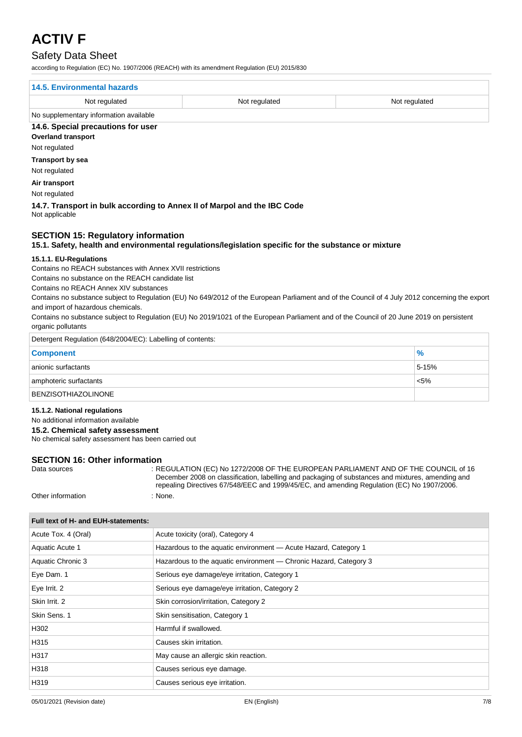## Safety Data Sheet

according to Regulation (EC) No. 1907/2006 (REACH) with its amendment Regulation (EU) 2015/830

| 14.5. Environmental hazards            |               |               |  |
|----------------------------------------|---------------|---------------|--|
| Not regulated                          | Not regulated | Not regulated |  |
| No supplementary information available |               |               |  |
| 14.6. Special precautions for user     |               |               |  |
| <b>Overland transport</b>              |               |               |  |
| Not rogulated                          |               |               |  |

Not regulated

**Transport by sea**

Not regulated

**Air transport**

Not regulated

#### **14.7. Transport in bulk according to Annex II of Marpol and the IBC Code** Not applicable

## **SECTION 15: Regulatory information**

#### **15.1. Safety, health and environmental regulations/legislation specific for the substance or mixture**

#### **15.1.1. EU-Regulations**

Contains no REACH substances with Annex XVII restrictions

Contains no substance on the REACH candidate list

Contains no REACH Annex XIV substances

Contains no substance subject to Regulation (EU) No 649/2012 of the European Parliament and of the Council of 4 July 2012 concerning the export and import of hazardous chemicals.

Contains no substance subject to Regulation (EU) No 2019/1021 of the European Parliament and of the Council of 20 June 2019 on persistent organic pollutants

| Detergent Regulation (648/2004/EC): Labelling of contents: |               |
|------------------------------------------------------------|---------------|
| <b>Component</b>                                           | $\frac{9}{6}$ |
| anionic surfactants                                        | 5-15%         |
| amphoteric surfactants                                     | $< 5\%$       |
| <b>BENZISOTHIAZOLINONE</b>                                 |               |

#### **15.1.2. National regulations**

No additional information available

#### **15.2. Chemical safety assessment**

No chemical safety assessment has been carried out

#### **SECTION 16: Other information**

| Data sources      | : REGULATION (EC) No 1272/2008 OF THE EUROPEAN PARLIAMENT AND OF THE COUNCIL of 16<br>December 2008 on classification, labelling and packaging of substances and mixtures, amending and<br>repealing Directives 67/548/EEC and 1999/45/EC, and amending Regulation (EC) No 1907/2006. |
|-------------------|---------------------------------------------------------------------------------------------------------------------------------------------------------------------------------------------------------------------------------------------------------------------------------------|
| Other information | None.                                                                                                                                                                                                                                                                                 |

| Acute Tox. 4 (Oral) | Acute toxicity (oral), Category 4                                 |  |
|---------------------|-------------------------------------------------------------------|--|
| Aquatic Acute 1     | Hazardous to the aquatic environment - Acute Hazard, Category 1   |  |
| Aquatic Chronic 3   | Hazardous to the aquatic environment — Chronic Hazard, Category 3 |  |
| Eye Dam. 1          | Serious eye damage/eye irritation, Category 1                     |  |
| Eye Irrit. 2        | Serious eye damage/eye irritation, Category 2                     |  |
| Skin Irrit, 2       | Skin corrosion/irritation, Category 2                             |  |
| Skin Sens. 1        | Skin sensitisation, Category 1                                    |  |
| H302                | Harmful if swallowed.                                             |  |
| H315                | Causes skin irritation.                                           |  |
| H317                | May cause an allergic skin reaction.                              |  |
| H318                | Causes serious eye damage.                                        |  |
| H319                | Causes serious eye irritation.                                    |  |
|                     |                                                                   |  |